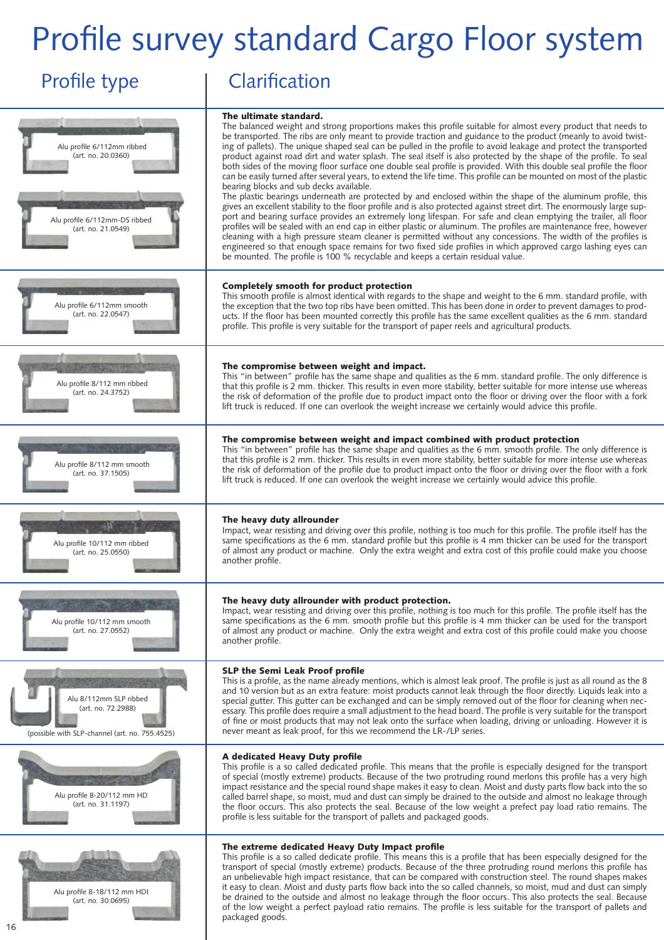## Profile survey standard Cargo Floor system

## Profile type | Clarification



packaged goods.